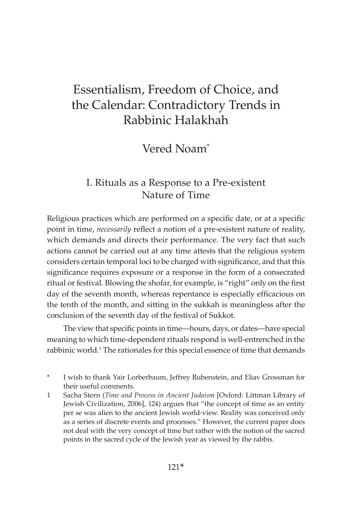# Essentialism, Freedom of Choice, and the Calendar: Contradictory Trends in Rabbinic Halakhah

Vered Noam\*

# I. Rituals as a Response to a Pre-existent Nature of Time

Religious practices which are performed on a specific date, or at a specific point in time, *necessarily* reflect a notion of a pre-existent nature of reality, which demands and directs their performance. The very fact that such actions cannot be carried out at any time attests that the religious system considers certain temporal loci to be charged with significance, and that this significance requires exposure or a response in the form of a consecrated ritual or festival. Blowing the shofar, for example, is "right" only on the first day of the seventh month, whereas repentance is especially efficacious on the tenth of the month, and sitting in the sukkah is meaningless after the conclusion of the seventh day of the festival of Sukkot.

The view that specific points in time—hours, days, or dates—have special meaning to which time-dependent rituals respond is well-entrenched in the rabbinic world.<sup>1</sup> The rationales for this special essence of time that demands

\* I wish to thank Yair Lorberbaum, Jeffrey Rubenstein, and Eliav Grossman for their useful comments.

1 Sacha Stern (*Time and Process in Ancient Judaism* [Oxford: Littman Library of Jewish Civilization, 2006], 124) argues that "the concept of time as an entity per se was alien to the ancient Jewish world-view. Reality was conceived only as a series of discrete events and processes." However, the current paper does not deal with the very concept of time but rather with the notion of the sacred points in the sacred cycle of the Jewish year as viewed by the rabbis.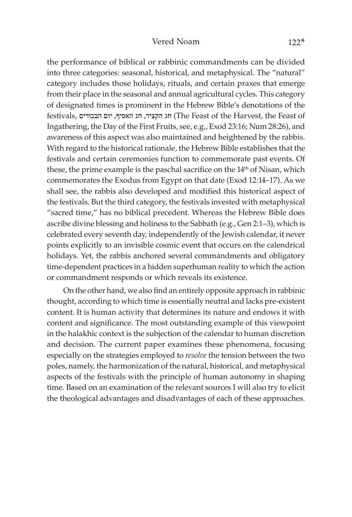the performance of biblical or rabbinic commandments can be divided into three categories: seasonal, historical, and metaphysical. The "natural" category includes those holidays, rituals, and certain praxes that emerge from their place in the seasonal and annual agricultural cycles. This category of designated times is prominent in the Hebrew Bible's denotations of the festivals, הבכורים יום ,האסיף חג ,הקציר חג) The Feast of the Harvest, the Feast of Ingathering, the Day of the First Fruits, see, e.g., Exod 23:16; Num 28:26), and awareness of this aspect was also maintained and heightened by the rabbis. With regard to the historical rationale, the Hebrew Bible establishes that the festivals and certain ceremonies function to commemorate past events. Of these, the prime example is the paschal sacrifice on the 14<sup>th</sup> of Nisan, which commemorates the Exodus from Egypt on that date (Exod 12:14–17). As we shall see, the rabbis also developed and modified this historical aspect of the festivals. But the third category, the festivals invested with metaphysical "sacred time," has no biblical precedent. Whereas the Hebrew Bible does ascribe divine blessing and holiness to the Sabbath (e.g., Gen 2:1–3), which is celebrated every seventh day, independently of the Jewish calendar, it never points explicitly to an invisible cosmic event that occurs on the calendrical holidays. Yet, the rabbis anchored several commandments and obligatory time-dependent practices in a hidden superhuman reality to which the action or commandment responds or which reveals its existence.

On the other hand, we also find an entirely opposite approach in rabbinic thought, according to which time is essentially neutral and lacks pre-existent content. It is human activity that determines its nature and endows it with content and significance. The most outstanding example of this viewpoint in the halakhic context is the subjection of the calendar to human discretion and decision. The current paper examines these phenomena, focusing especially on the strategies employed to *resolve* the tension between the two poles, namely, the harmonization of the natural, historical, and metaphysical aspects of the festivals with the principle of human autonomy in shaping time. Based on an examination of the relevant sources I will also try to elicit the theological advantages and disadvantages of each of these approaches.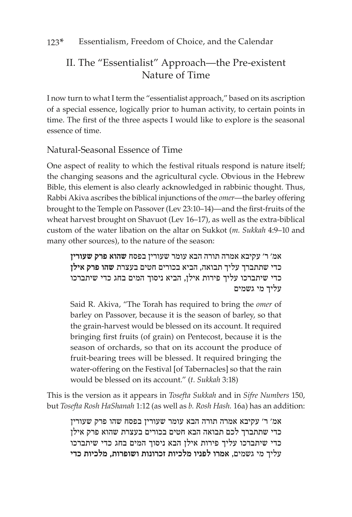# II. The "Essentialist" Approach—the Pre-existent Nature of Time

I now turn to what I term the "essentialist approach," based on its ascription of a special essence, logically prior to human activity, to certain points in time. The first of the three aspects I would like to explore is the seasonal essence of time.

# Natural-Seasonal Essence of Time

One aspect of reality to which the festival rituals respond is nature itself; the changing seasons and the agricultural cycle. Obvious in the Hebrew Bible, this element is also clearly acknowledged in rabbinic thought. Thus, Rabbi Akiva ascribes the biblical injunctions of the *omer*—the barley offering brought to the Temple on Passover (Lev 23:10–14)—and the first-fruits of the wheat harvest brought on Shavuot (Lev 16–17), as well as the extra-biblical custom of the water libation on the altar on Sukkot (*m. Sukkah* 4:9–10 and many other sources), to the nature of the season:

אמ' ר' עקיבא אמרה תורה הבא עומר שעורין בפסח **שהוא פרק שעורין** כדי שתתברך עליך תבואה, הביא בכורים חטים בעצרת **שהו פרק אילן** כדי שיתברכו עליך פירות אילן, הביא ניסוך המים בחג כדי שיתברכו עליך מי גשמים

Said R. Akiva, "The Torah has required to bring the *omer* of barley on Passover, because it is the season of barley, so that the grain-harvest would be blessed on its account. It required bringing first fruits (of grain) on Pentecost, because it is the season of orchards, so that on its account the produce of fruit-bearing trees will be blessed. It required bringing the water-offering on the Festival [of Tabernacles] so that the rain would be blessed on its account." (*t. Sukkah* 3:18)

This is the version as it appears in *Tosefta Sukkah* and in *Sifre Numbers* 150, but *Tosefta Rosh HaShanah* 1:12 (as well as *b. Rosh Hash.* 16a) has an addition:

אמ' ר' עקיבא אמרה תורה הבא עומר שעורין בפסח שהו פרק שעורין כדי שתתברך לכם תבואה הבא חטים בכורים בעצרת שהוא פרק אילן כדי שיתברכו עליך פירות אילן הבא ניסוך המים בחג כדי שיתברכו עליך מי גשמים, **אמרו לפניו מלכיות זכרונות ושופרות, מלכיות כדי**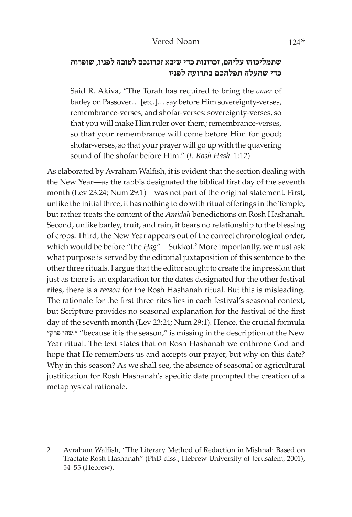#### Vered Noam 124\*

## **שתמליכוהו עליהם, זכרונות כדי שיבא זכרונכם לטובה לפניו, שופרות כדי שתעלה תפלתכם בתרועה לפניו**

Said R. Akiva, "The Torah has required to bring the *omer* of barley on Passover… [etc.]… say before Him sovereignty-verses, remembrance-verses, and shofar-verses: sovereignty-verses, so that you will make Him ruler over them; remembrance-verses, so that your remembrance will come before Him for good; shofar-verses, so that your prayer will go up with the quavering sound of the shofar before Him." (*t. Rosh Hash.* 1:12)

As elaborated by Avraham Walfish, it is evident that the section dealing with the New Year—as the rabbis designated the biblical first day of the seventh month (Lev 23:24; Num 29:1)—was not part of the original statement. First, unlike the initial three, it has nothing to do with ritual offerings in the Temple, but rather treats the content of the *Amidah* benedictions on Rosh Hashanah. Second, unlike barley, fruit, and rain, it bears no relationship to the blessing of crops. Third, the New Year appears out of the correct chronological order, which would be before "the *Hag"*—Sukkot.<sup>2</sup> More importantly, we must ask what purpose is served by the editorial juxtaposition of this sentence to the other three rituals. I argue that the editor sought to create the impression that just as there is an explanation for the dates designated for the other festival rites, there is a *reason* for the Rosh Hashanah ritual. But this is misleading. The rationale for the first three rites lies in each festival's seasonal context, but Scripture provides no seasonal explanation for the festival of the first day of the seventh month (Lev 23:24; Num 29:1). Hence, the crucial formula "פרק שהו," "because it is the season," is missing in the description of the New Year ritual. The text states that on Rosh Hashanah we enthrone God and hope that He remembers us and accepts our prayer, but why on this date? Why in this season? As we shall see, the absence of seasonal or agricultural justification for Rosh Hashanah's specific date prompted the creation of a metaphysical rationale.

<sup>2</sup> Avraham Walfish, "The Literary Method of Redaction in Mishnah Based on Tractate Rosh Hashanah" (PhD diss., Hebrew University of Jerusalem, 2001), 54–55 (Hebrew).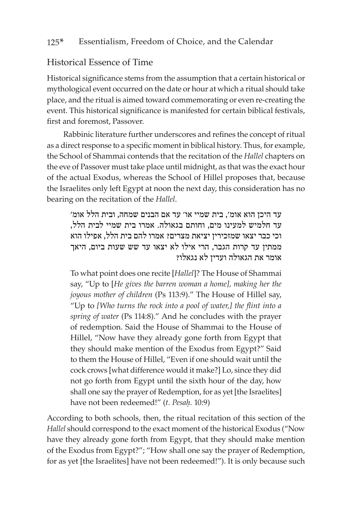#### 125\* Essentialism, Freedom of Choice, and the Calendar

### Historical Essence of Time

Historical significance stems from the assumption that a certain historical or mythological event occurred on the date or hour at which a ritual should take place, and the ritual is aimed toward commemorating or even re-creating the event. This historical significance is manifested for certain biblical festivals, first and foremost, Passover.

Rabbinic literature further underscores and refines the concept of ritual as a direct response to a specific moment in biblical history. Thus, for example, the School of Shammai contends that the recitation of the *Hallel* chapters on the eve of Passover must take place until midnight, as that was the exact hour of the actual Exodus, whereas the School of Hillel proposes that, because the Israelites only left Egypt at noon the next day, this consideration has no bearing on the recitation of the *Hallel*.

עד היכן הוא אומ', בית שמיי או' עד אם הבנים שמחה, ובית הלל אומ' עד חלמיש למעינו מים, וחותם בגאולה. אמרו בית שמיי לבית הלל, וכי כבר יצאו שמזכירין יציאת מצרים? אמרו להם בית הלל, אפילו הוא ממתין עד קרות הגבר, הרי אילו לא יצאו עד שש שעות ביום, היאך אומר את הגאולה ועדין לא נגאלו?

To what point does one recite [*Hallel*]? The House of Shammai say, "Up to [*He gives the barren woman a home], making her the joyous mother of children* (Ps 113:9)." The House of Hillel say, "Up to *[Who turns the rock into a pool of water,] the flint into a spring of water* (Ps 114:8)." And he concludes with the prayer of redemption. Said the House of Shammai to the House of Hillel, "Now have they already gone forth from Egypt that they should make mention of the Exodus from Egypt?" Said to them the House of Hillel, "Even if one should wait until the cock crows [what difference would it make?] Lo, since they did not go forth from Egypt until the sixth hour of the day, how shall one say the prayer of Redemption, for as yet [the Israelites] have not been redeemed!" (*t. Pesaḥ.* 10:9)

According to both schools, then, the ritual recitation of this section of the *Hallel* should correspond to the exact moment of the historical Exodus ("Now have they already gone forth from Egypt, that they should make mention of the Exodus from Egypt?"; "How shall one say the prayer of Redemption, for as yet [the Israelites] have not been redeemed!"). It is only because such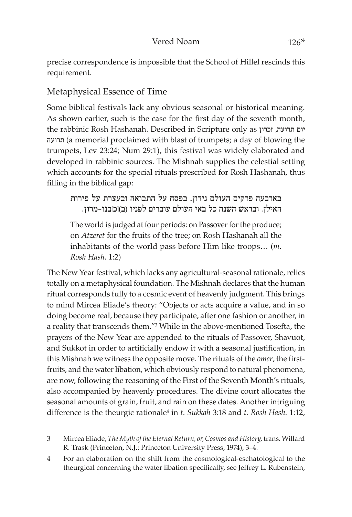precise correspondence is impossible that the School of Hillel rescinds this requirement.

# Metaphysical Essence of Time

Some biblical festivals lack any obvious seasonal or historical meaning. As shown earlier, such is the case for the first day of the seventh month, the rabbinic Rosh Hashanah. Described in Scripture only as זכרון ,תרועה יום תרועה) a memorial proclaimed with blast of trumpets; a day of blowing the trumpets, Lev 23:24; Num 29:1), this festival was widely elaborated and developed in rabbinic sources. The Mishnah supplies the celestial setting which accounts for the special rituals prescribed for Rosh Hashanah, thus filling in the biblical gap:

בארבעה פרקים העולם נידון. בפסח על התבואה ובעצרת על פירות האילן. ובראש השנה כל באי העולם עוברים לפניו )ב(]כ[בנו-מרון.

The world is judged at four periods: on Passover for the produce; on *Atzeret* for the fruits of the tree; on Rosh Hashanah all the inhabitants of the world pass before Him like troops… (*m. Rosh Hash.* 1:2)

The New Year festival, which lacks any agricultural-seasonal rationale, relies totally on a metaphysical foundation. The Mishnah declares that the human ritual corresponds fully to a cosmic event of heavenly judgment. This brings to mind Mircea Eliade's theory: "Objects or acts acquire a value, and in so doing become real, because they participate, after one fashion or another, in a reality that transcends them."3 While in the above-mentioned Tosefta, the prayers of the New Year are appended to the rituals of Passover, Shavuot, and Sukkot in order to artificially endow it with a seasonal justification, in this Mishnah we witness the opposite move. The rituals of the *omer*, the firstfruits, and the water libation, which obviously respond to natural phenomena, are now, following the reasoning of the First of the Seventh Month's rituals, also accompanied by heavenly procedures. The divine court allocates the seasonal amounts of grain, fruit, and rain on these dates. Another intriguing difference is the theurgic rationale<sup>4</sup> in *t. Sukkah* 3:18 and *t. Rosh Hash.* 1:12,

3 Mircea Eliade, *The Myth of the Eternal Return, or, Cosmos and History,* trans. Willard R. Trask (Princeton, N.J.: Princeton University Press, 1974), 3–4.

4 For an elaboration on the shift from the cosmological-eschatological to the theurgical concerning the water libation specifically, see Jeffrey L. Rubenstein,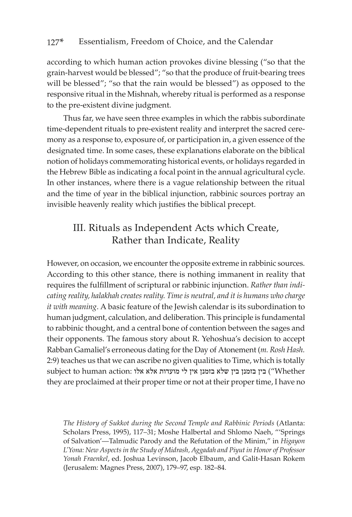according to which human action provokes divine blessing ("so that the grain-harvest would be blessed"; "so that the produce of fruit-bearing trees will be blessed"; "so that the rain would be blessed") as opposed to the responsive ritual in the Mishnah, whereby ritual is performed as a response to the pre-existent divine judgment.

Thus far, we have seen three examples in which the rabbis subordinate time-dependent rituals to pre-existent reality and interpret the sacred ceremony as a response to, exposure of, or participation in, a given essence of the designated time. In some cases, these explanations elaborate on the biblical notion of holidays commemorating historical events, or holidays regarded in the Hebrew Bible as indicating a focal point in the annual agricultural cycle. In other instances, where there is a vague relationship between the ritual and the time of year in the biblical injunction, rabbinic sources portray an invisible heavenly reality which justifies the biblical precept.

# III. Rituals as Independent Acts which Create, Rather than Indicate, Reality

However, on occasion, we encounter the opposite extreme in rabbinic sources. According to this other stance, there is nothing immanent in reality that requires the fulfillment of scriptural or rabbinic injunction. *Rather than indicating reality, halakhah creates reality. Time is neutral, and it is humans who charge it with meaning*. A basic feature of the Jewish calendar is its subordination to human judgment, calculation, and deliberation. This principle is fundamental to rabbinic thought, and a central bone of contention between the sages and their opponents. The famous story about R. Yehoshua's decision to accept Rabban Gamaliel's erroneous dating for the Day of Atonement (*m. Rosh Hash.*  2:9) teaches us that we can ascribe no given qualities to Time, which is totally subject to human action: בין בזמנן בין שלא בזמנן אין לי מועדות אלא אלו "Whether they are proclaimed at their proper time or not at their proper time, I have no

*The History of Sukkot during the Second Temple and Rabbinic Periods* (Atlanta: Scholars Press, 1995), 117–31; Moshe Halbertal and Shlomo Naeh, "'Springs of Salvation'—Talmudic Parody and the Refutation of the Minim," in *Higayon L'Yona: New Aspects in the Study of Midrash, Aggadah and Piyut in Honor of Professor Yonah Fraenkel*, ed. Joshua Levinson, Jacob Elbaum, and Galit-Hasan Rokem (Jerusalem: Magnes Press, 2007), 179–97, esp. 182–84.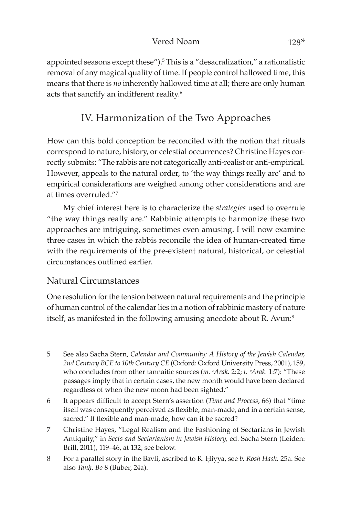#### Vered Noam 128<sup>\*</sup>

appointed seasons except these").5 This is a "desacralization," a rationalistic removal of any magical quality of time. If people control hallowed time, this means that there is *no* inherently hallowed time at all; there are only human acts that sanctify an indifferent reality.<sup>6</sup>

# IV. Harmonization of the Two Approaches

How can this bold conception be reconciled with the notion that rituals correspond to nature, history, or celestial occurrences? Christine Hayes correctly submits: "The rabbis are not categorically anti-realist or anti-empirical. However, appeals to the natural order, to 'the way things really are' and to empirical considerations are weighed among other considerations and are at times overruled."7

My chief interest here is to characterize the *strategies* used to overrule "the way things really are." Rabbinic attempts to harmonize these two approaches are intriguing, sometimes even amusing. I will now examine three cases in which the rabbis reconcile the idea of human-created time with the requirements of the pre-existent natural, historical, or celestial circumstances outlined earlier.

### Natural Circumstances

One resolution for the tension between natural requirements and the principle of human control of the calendar lies in a notion of rabbinic mastery of nature itself, as manifested in the following amusing anecdote about R. Avun:<sup>8</sup>

- 5 See also Sacha Stern, *Calendar and Community: A History of the Jewish Calendar, 2nd Century BCE to 10th Century CE* (Oxford: Oxford University Press, 2001), 159, who concludes from other tannaitic sources (*m. <sup><i>c*</sup>Arak. 2:2; t. <sup>*c*</sup>Arak. 1:7): "These passages imply that in certain cases, the new month would have been declared regardless of when the new moon had been sighted."
- 6 It appears difficult to accept Stern's assertion (*Time and Process*, 66) that "time itself was consequently perceived as flexible, man-made, and in a certain sense, sacred." If flexible and man-made, how can it be sacred?
- 7 Christine Hayes, "Legal Realism and the Fashioning of Sectarians in Jewish Antiquity," in *Sects and Sectarianism in Jewish History,* ed. Sacha Stern (Leiden: Brill, 2011), 119–46, at 132; see below.
- 8 For a parallel story in the Bavli, ascribed to R. Êiyya, see *b. Rosh Hash.* 25a. See also *Tanḥ. Bo* 8 (Buber, 24a).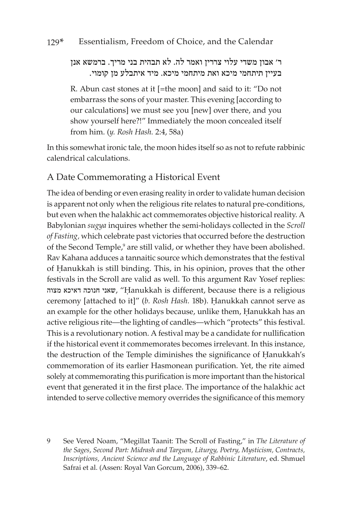ר' אבון משדי עלוי צררין ואמר לה. לא תבהית בני מריך. ברמשא אנן בעיין תיתחמי מיכא ואת מיתחמי מיכא. מיד איתבלע מן קומוי.

R. Abun cast stones at it [=the moon] and said to it: "Do not embarrass the sons of your master. This evening [according to our calculations] we must see you [new] over there, and you show yourself here?!" Immediately the moon concealed itself from him. (*y. Rosh Hash.* 2:4, 58a)

In this somewhat ironic tale, the moon hides itself so as not to refute rabbinic calendrical calculations.

### A Date Commemorating a Historical Event

The idea of bending or even erasing reality in order to validate human decision is apparent not only when the religious rite relates to natural pre-conditions, but even when the halakhic act commemorates objective historical reality. A Babylonian *sugya* inquires whether the semi-holidays collected in the *Scroll of Fasting,* which celebrate past victories that occurred before the destruction of the Second Temple,<sup>9</sup> are still valid, or whether they have been abolished. Rav Kahana adduces a tannaitic source which demonstrates that the festival of Hanukkah is still binding. This, in his opinion, proves that the other festivals in the Scroll are valid as well. To this argument Rav Yosef replies: מצוה דאיכא חנוכה שאני," Êanukkah is different, because there is a religious ceremony [attached to it]" (*b. Rosh Hash.* 18b). Hanukkah cannot serve as an example for the other holidays because, unlike them, Hanukkah has an active religious rite—the lighting of candles—which "protects" this festival. This is a revolutionary notion. A festival may be a candidate for nullification if the historical event it commemorates becomes irrelevant. In this instance, the destruction of the Temple diminishes the significance of Hanukkah's commemoration of its earlier Hasmonean purification. Yet, the rite aimed solely at commemorating this purification is more important than the historical event that generated it in the first place. The importance of the halakhic act intended to serve collective memory overrides the significance of this memory

9 See Vered Noam, "Megillat Taanit: The Scroll of Fasting," in *The Literature of the Sages*, *Second Part: Midrash and Targum, Liturgy, Poetry, Mysticism, Contracts, Inscriptions, Ancient Science and the Language of Rabbinic Literature*, ed. Shmuel Safrai et al. (Assen: Royal Van Gorcum, 2006), 339–62.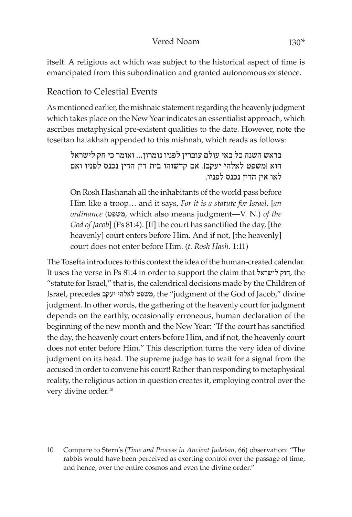#### Vered Noam 130<sup>\*</sup>

itself. A religious act which was subject to the historical aspect of time is emancipated from this subordination and granted autonomous existence.

### Reaction to Celestial Events

As mentioned earlier, the mishnaic statement regarding the heavenly judgment which takes place on the New Year indicates an essentialist approach, which ascribes metaphysical pre-existent qualities to the date. However, note the toseftan halakhah appended to this mishnah, which reads as follows:

בראש השנה כל באי עולם עוברין לפניו נומרון... ואומר כי חק לישראל הוא ]משפט לאלהי יעקב[. אם קדשוהו בית דין הדין נכנס לפניו ואם לאו אין הדין נכנס לפניו.

On Rosh Hashanah all the inhabitants of the world pass before Him like a troop… and it says, *For it is a statute for Israel,* [*an ordinance* (משפט, which also means judgment—V. N.) *of the God of Jacob*] (Ps 81:4). [If] the court has sanctified the day, [the heavenly] court enters before Him. And if not, [the heavenly] court does not enter before Him. (*t. Rosh Hash.* 1:11)

The Tosefta introduces to this context the idea of the human-created calendar. It uses the verse in Ps 81:4 in order to support the claim that לישראל חוק, the "statute for Israel," that is, the calendrical decisions made by the Children of Israel, precedes יעקב לאלהי משפט, the "judgment of the God of Jacob," divine judgment. In other words, the gathering of the heavenly court for judgment depends on the earthly, occasionally erroneous, human declaration of the beginning of the new month and the New Year: "If the court has sanctified the day, the heavenly court enters before Him, and if not, the heavenly court does not enter before Him." This description turns the very idea of divine judgment on its head. The supreme judge has to wait for a signal from the accused in order to convene his court! Rather than responding to metaphysical reality, the religious action in question creates it, employing control over the very divine order.<sup>10</sup>

10 Compare to Stern's (*Time and Process in Ancient Judaism*, 66) observation: "The rabbis would have been perceived as exerting control over the passage of time, and hence, over the entire cosmos and even the divine order."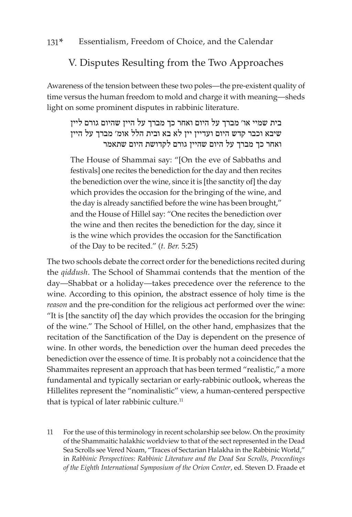# V. Disputes Resulting from the Two Approaches

Awareness of the tension between these two poles—the pre-existent quality of time versus the human freedom to mold and charge it with meaning—sheds light on some prominent disputes in rabbinic literature.

# בית שמיי או' מברך על היום ואחר כך מברך על היין שהיום גורם ליין שיבא וכבר קדש היום ועדיין יין לא בא ובית הלל אומ' מברך על היין ואחר כך מברך על היום שהיין גורם לקדושת היום שתאמר

The House of Shammai say: "[On the eve of Sabbaths and festivals] one recites the benediction for the day and then recites the benediction over the wine, since it is [the sanctity of] the day which provides the occasion for the bringing of the wine, and the day is already sanctified before the wine has been brought," and the House of Hillel say: "One recites the benediction over the wine and then recites the benediction for the day, since it is the wine which provides the occasion for the Sanctification of the Day to be recited." (*t. Ber.* 5:25)

The two schools debate the correct order for the benedictions recited during the *qiddush*. The School of Shammai contends that the mention of the day—Shabbat or a holiday—takes precedence over the reference to the wine. According to this opinion, the abstract essence of holy time is the *reason* and the pre-condition for the religious act performed over the wine: "It is [the sanctity of] the day which provides the occasion for the bringing of the wine." The School of Hillel, on the other hand, emphasizes that the recitation of the Sanctification of the Day is dependent on the presence of wine. In other words, the benediction over the human deed precedes the benediction over the essence of time. It is probably not a coincidence that the Shammaites represent an approach that has been termed "realistic," a more fundamental and typically sectarian or early-rabbinic outlook, whereas the Hillelites represent the "nominalistic" view, a human-centered perspective that is typical of later rabbinic culture.<sup>11</sup>

11 For the use of this terminology in recent scholarship see below. On the proximity of the Shammaitic halakhic worldview to that of the sect represented in the Dead Sea Scrolls see Vered Noam, "Traces of Sectarian Halakha in the Rabbinic World," in *Rabbinic Perspectives: Rabbinic Literature and the Dead Sea Scrolls, Proceedings of the Eighth International Symposium of the Orion Center*, ed. Steven D. Fraade et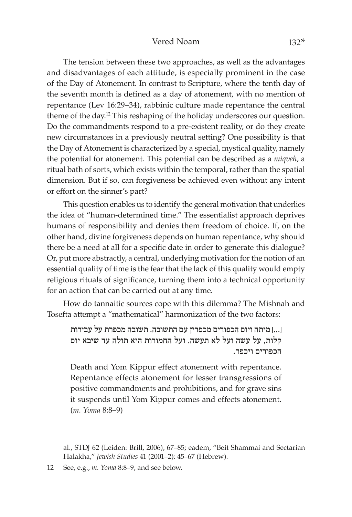#### Vered Noam 132<sup>\*</sup>

The tension between these two approaches, as well as the advantages and disadvantages of each attitude, is especially prominent in the case of the Day of Atonement. In contrast to Scripture, where the tenth day of the seventh month is defined as a day of atonement, with no mention of repentance (Lev 16:29–34), rabbinic culture made repentance the central theme of the day.12 This reshaping of the holiday underscores our question. Do the commandments respond to a pre-existent reality, or do they create new circumstances in a previously neutral setting? One possibility is that the Day of Atonement is characterized by a special, mystical quality, namely the potential for atonement. This potential can be described as a *miqveh*, a ritual bath of sorts, which exists within the temporal, rather than the spatial dimension. But if so, can forgiveness be achieved even without any intent or effort on the sinner's part?

This question enables us to identify the general motivation that underlies the idea of "human-determined time." The essentialist approach deprives humans of responsibility and denies them freedom of choice. If, on the other hand, divine forgiveness depends on human repentance, why should there be a need at all for a specific date in order to generate this dialogue? Or, put more abstractly, a central, underlying motivation for the notion of an essential quality of time is the fear that the lack of this quality would empty religious rituals of significance, turning them into a technical opportunity for an action that can be carried out at any time.

How do tannaitic sources cope with this dilemma? The Mishnah and Tosefta attempt a "mathematical" harmonization of the two factors:

]...[ מיתה ויום הכפורים מכפרין עם התשובה. תשובה מכפרת על עבירות קלות, על עשה ועל לא תעשה. ועל החמורות היא תולה עד שיבא יום הכפורים ויכפר.

Death and Yom Kippur effect atonement with repentance. Repentance effects atonement for lesser transgressions of positive commandments and prohibitions, and for grave sins it suspends until Yom Kippur comes and effects atonement. (*m. Yoma* 8:8–9)

al., STDJ 62 (Leiden: Brill, 2006), 67–85; eadem, "Beit Shammai and Sectarian Halakha," *Jewish Studies* 41 (2001–2): 45–67 (Hebrew).

12 See, e.g., *m. Yoma* 8:8–9, and see below.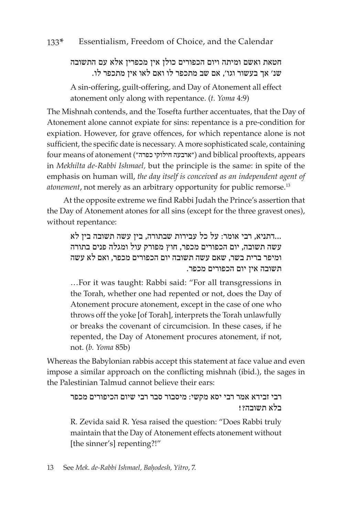### חטאת ואשם ומיתה ויום הכפורים כולן אין מכפרין אלא עם התשובה שנ' אך בעשור וגו', אם שב מתכפר לו ואם לאו אין מתכפר לו.

A sin-offering, guilt-offering, and Day of Atonement all effect atonement only along with repentance. (*t. Yoma* 4:9)

The Mishnah contends, and the Tosefta further accentuates, that the Day of Atonement alone cannot expiate for sins: repentance is a pre-condition for expiation. However, for grave offences, for which repentance alone is not sufficient, the specific date is necessary. A more sophisticated scale, containing four means of atonement ("כפרה חילוקי ארבעה ("and biblical prooftexts, appears in *Mekhilta de-Rabbi Ishmael,* but the principle is the same: in spite of the emphasis on human will, *the day itself is conceived as an independent agent of atonement*, not merely as an arbitrary opportunity for public remorse.13

At the opposite extreme we find Rabbi Judah the Prince's assertion that the Day of Atonement atones for all sins (except for the three gravest ones), without repentance:

...דתניא, רבי אומר: על כל עבירות שבתורה, בין עשה תשובה בין לא עשה תשובה, יום הכפורים מכפר, חוץ מפורק עול ומגלה פנים בתורה ומיפר ברית בשר, שאם עשה תשובה יום הכפורים מכפר, ואם לא עשה תשובה אין יום הכפורים מכפר.

…For it was taught: Rabbi said: "For all transgressions in the Torah, whether one had repented or not, does the Day of Atonement procure atonement, except in the case of one who throws off the yoke [of Torah], interprets the Torah unlawfully or breaks the covenant of circumcision. In these cases, if he repented, the Day of Atonement procures atonement, if not, not. (*b. Yoma* 85b)

Whereas the Babylonian rabbis accept this statement at face value and even impose a similar approach on the conflicting mishnah (ibid.), the sages in the Palestinian Talmud cannot believe their ears:

## רבי זבידא אמר רבי יסא מקשי: מיסבור סבר רבי שיום הכיפורים מכפר בלא תשובה?!

R. Zevida said R. Yesa raised the question: "Does Rabbi truly maintain that the Day of Atonement effects atonement without [the sinner's] repenting?!"

13 See Mek. de-Rabbi Ishmael, Bahodesh, Yitro, 7.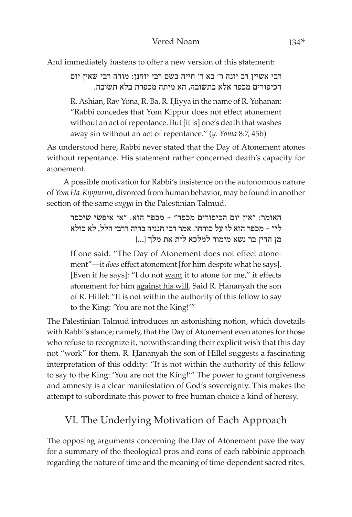And immediately hastens to offer a new version of this statement:

רבי אשיין רב יונה ר' בא ר' חייה בשם רבי יוחנן: מודה רבי שאין יום הכיפורים מכפר אלא בתשובה, הא מיתה מכפרת בלא תשובה.

R. Ashian, Rav Yona, R. Ba, R. Hiyya in the name of R. Yohanan: "Rabbi concedes that Yom Kippur does not effect atonement without an act of repentance. But [it is] one's death that washes away sin without an act of repentance." (*y. Yoma* 8:7, 45b)

As understood here, Rabbi never stated that the Day of Atonement atones without repentance. His statement rather concerned death's capacity for atonement.

A possible motivation for Rabbi's insistence on the autonomous nature of *Yom Ha-Kippurim*, divorced from human behavior, may be found in another section of the same *sugya* in the Palestinian Talmud.

האומר: "אין יום הכיפורים מכפר" - מכפר הוא. "אי איפשי שיכפר לי" - מכפר הוא לו על כורחו. אמר רבי חנניה בריה דרבי הלל, לא כולא מן הדין בר נשא מימור למלכא לית את מלך ]...[

If one said: "The Day of Atonement does not effect atonement"—it *does* effect atonement [for him despite what he says]. [Even if he says]: "I do not want it to atone for me," it effects atonement for him against his will. Said R. Hananyah the son of R. Hillel: "It is not within the authority of this fellow to say to the King: 'You are not the King!'"

The Palestinian Talmud introduces an astonishing notion, which dovetails with Rabbi's stance; namely, that the Day of Atonement even atones for those who refuse to recognize it, notwithstanding their explicit wish that this day not "work" for them. R. Hananyah the son of Hillel suggests a fascinating interpretation of this oddity: "It is not within the authority of this fellow to say to the King: 'You are not the King!'" The power to grant forgiveness and amnesty is a clear manifestation of God's sovereignty. This makes the attempt to subordinate this power to free human choice a kind of heresy.

# VI. The Underlying Motivation of Each Approach

The opposing arguments concerning the Day of Atonement pave the way for a summary of the theological pros and cons of each rabbinic approach regarding the nature of time and the meaning of time-dependent sacred rites.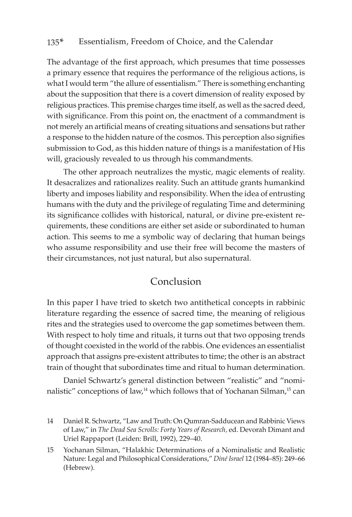#### 135\* Essentialism, Freedom of Choice, and the Calendar

The advantage of the first approach, which presumes that time possesses a primary essence that requires the performance of the religious actions, is what I would term "the allure of essentialism." There is something enchanting about the supposition that there is a covert dimension of reality exposed by religious practices. This premise charges time itself, as well as the sacred deed, with significance. From this point on, the enactment of a commandment is not merely an artificial means of creating situations and sensations but rather a response to the hidden nature of the cosmos. This perception also signifies submission to God, as this hidden nature of things is a manifestation of His will, graciously revealed to us through his commandments.

The other approach neutralizes the mystic, magic elements of reality. It desacralizes and rationalizes reality. Such an attitude grants humankind liberty and imposes liability and responsibility. When the idea of entrusting humans with the duty and the privilege of regulating Time and determining its significance collides with historical, natural, or divine pre-existent requirements, these conditions are either set aside or subordinated to human action. This seems to me a symbolic way of declaring that human beings who assume responsibility and use their free will become the masters of their circumstances, not just natural, but also supernatural.

### Conclusion

In this paper I have tried to sketch two antithetical concepts in rabbinic literature regarding the essence of sacred time, the meaning of religious rites and the strategies used to overcome the gap sometimes between them. With respect to holy time and rituals, it turns out that two opposing trends of thought coexisted in the world of the rabbis. One evidences an essentialist approach that assigns pre-existent attributes to time; the other is an abstract train of thought that subordinates time and ritual to human determination.

Daniel Schwartz's general distinction between "realistic" and "nominalistic" conceptions of law,<sup>14</sup> which follows that of Yochanan Silman,<sup>15</sup> can

<sup>14</sup> Daniel R. Schwartz, "Law and Truth: On Qumran-Sadducean and Rabbinic Views of Law," in *The Dead Sea Scrolls: Forty Years of Research,* ed. Devorah Dimant and Uriel Rappaport (Leiden: Brill, 1992), 229–40.

<sup>15</sup> Yochanan Silman, "Halakhic Determinations of a Nominalistic and Realistic Nature: Legal and Philosophical Considerations," *Diné Israel* 12 (1984–85): 249–66 (Hebrew).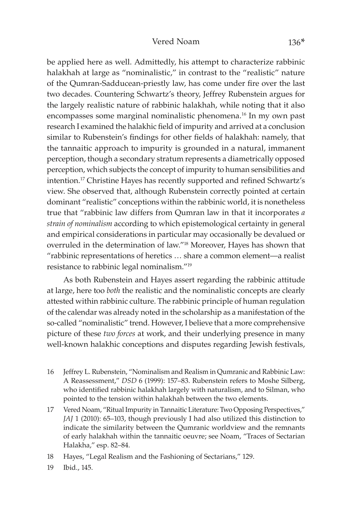#### Vered Noam 136<sup>\*</sup>

be applied here as well. Admittedly, his attempt to characterize rabbinic halakhah at large as "nominalistic," in contrast to the "realistic" nature of the Qumran-Sadducean-priestly law, has come under fire over the last two decades. Countering Schwartz's theory, Jeffrey Rubenstein argues for the largely realistic nature of rabbinic halakhah, while noting that it also encompasses some marginal nominalistic phenomena.16 In my own past research I examined the halakhic field of impurity and arrived at a conclusion similar to Rubenstein's findings for other fields of halakhah: namely, that the tannaitic approach to impurity is grounded in a natural, immanent perception, though a secondary stratum represents a diametrically opposed perception, which subjects the concept of impurity to human sensibilities and intention.17 Christine Hayes has recently supported and refined Schwartz's view. She observed that, although Rubenstein correctly pointed at certain dominant "realistic" conceptions within the rabbinic world, it is nonetheless true that "rabbinic law differs from Qumran law in that it incorporates *a strain of nominalism* according to which epistemological certainty in general and empirical considerations in particular may occasionally be devalued or overruled in the determination of law."18 Moreover, Hayes has shown that "rabbinic representations of heretics … share a common element—a realist resistance to rabbinic legal nominalism."19

As both Rubenstein and Hayes assert regarding the rabbinic attitude at large, here too *both* the realistic and the nominalistic concepts are clearly attested within rabbinic culture. The rabbinic principle of human regulation of the calendar was already noted in the scholarship as a manifestation of the so-called "nominalistic" trend. However, I believe that a more comprehensive picture of these *two forces* at work, and their underlying presence in many well-known halakhic conceptions and disputes regarding Jewish festivals,

- 16 Jeffrey L. Rubenstein, "Nominalism and Realism in Qumranic and Rabbinic Law: A Reassessment," *DSD* 6 (1999): 157–83. Rubenstein refers to Moshe Silberg, who identified rabbinic halakhah largely with naturalism, and to Silman, who pointed to the tension within halakhah between the two elements.
- 17 Vered Noam, "Ritual Impurity in Tannaitic Literature: Two Opposing Perspectives," *JAJ* 1 (2010): 65–103, though previously I had also utilized this distinction to indicate the similarity between the Qumranic worldview and the remnants of early halakhah within the tannaitic oeuvre; see Noam, "Traces of Sectarian Halakha," esp. 82–84.

19 Ibid., 145.

<sup>18</sup> Hayes, "Legal Realism and the Fashioning of Sectarians," 129.